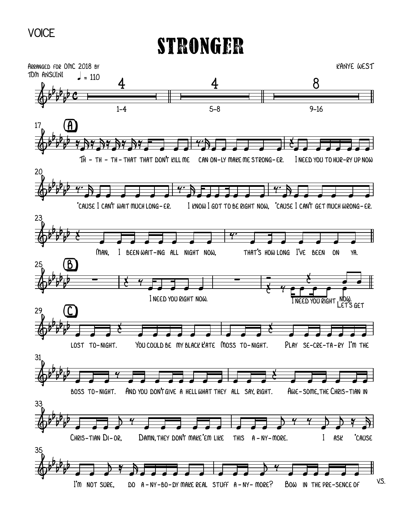## **VOICE**

## **STRONGER**

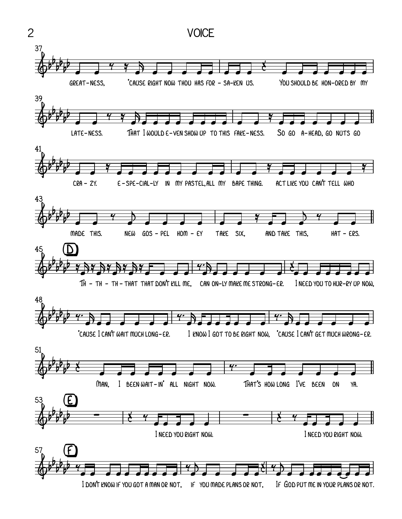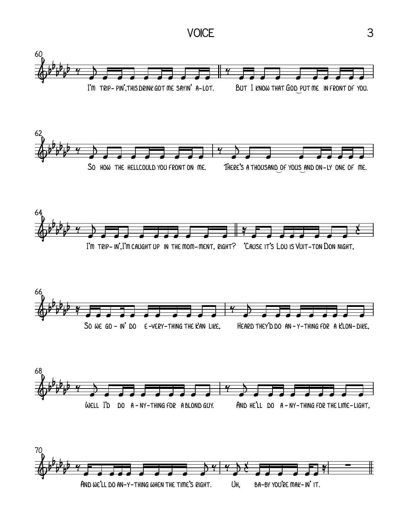VOICE 3

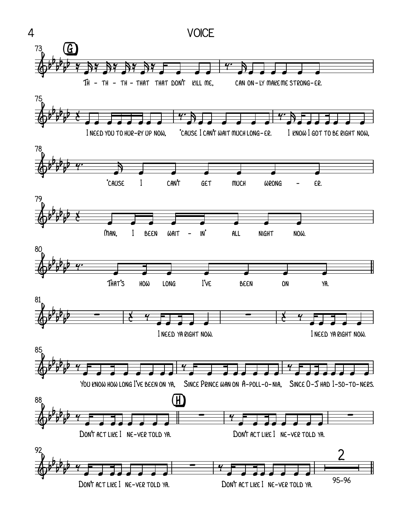